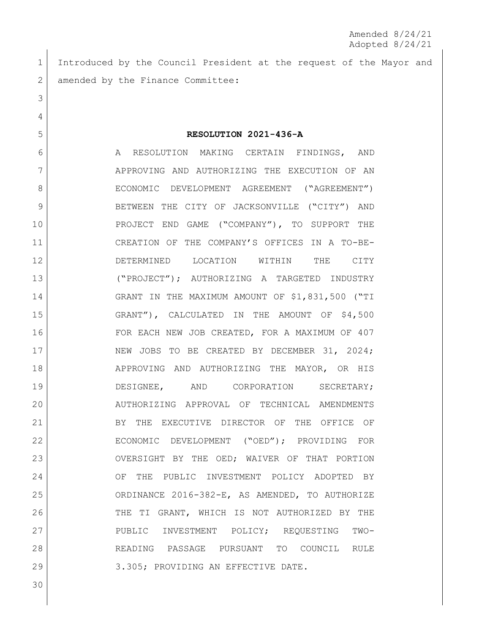Amended 8/24/21 Adopted 8/24/21

1 Introduced by the Council President at the request of the Mayor and 2 amended by the Finance Committee:

 **RESOLUTION 2021-436-A** 6 A RESOLUTION MAKING CERTAIN FINDINGS, AND APPROVING AND AUTHORIZING THE EXECUTION OF AN 8 | ECONOMIC DEVELOPMENT AGREEMENT ("AGREEMENT") 9 BETWEEN THE CITY OF JACKSONVILLE ("CITY") AND PROJECT END GAME ("COMPANY"), TO SUPPORT THE CREATION OF THE COMPANY'S OFFICES IN A TO-BE- DETERMINED LOCATION WITHIN THE CITY ("PROJECT"); AUTHORIZING A TARGETED INDUSTRY GRANT IN THE MAXIMUM AMOUNT OF \$1,831,500 ("TI GRANT"), CALCULATED IN THE AMOUNT OF \$4,500 FOR EACH NEW JOB CREATED, FOR A MAXIMUM OF 407 17 NEW JOBS TO BE CREATED BY DECEMBER 31, 2024; 18 APPROVING AND AUTHORIZING THE MAYOR, OR HIS DESIGNEE, AND CORPORATION SECRETARY; AUTHORIZING APPROVAL OF TECHNICAL AMENDMENTS 21 BY THE EXECUTIVE DIRECTOR OF THE OFFICE OF ECONOMIC DEVELOPMENT ("OED"); PROVIDING FOR OVERSIGHT BY THE OED; WAIVER OF THAT PORTION OF THE PUBLIC INVESTMENT POLICY ADOPTED BY ORDINANCE 2016-382-E, AS AMENDED, TO AUTHORIZE 26 THE TI GRANT, WHICH IS NOT AUTHORIZED BY THE PUBLIC INVESTMENT POLICY; REQUESTING TWO- READING PASSAGE PURSUANT TO COUNCIL RULE 29 | 3.305; PROVIDING AN EFFECTIVE DATE.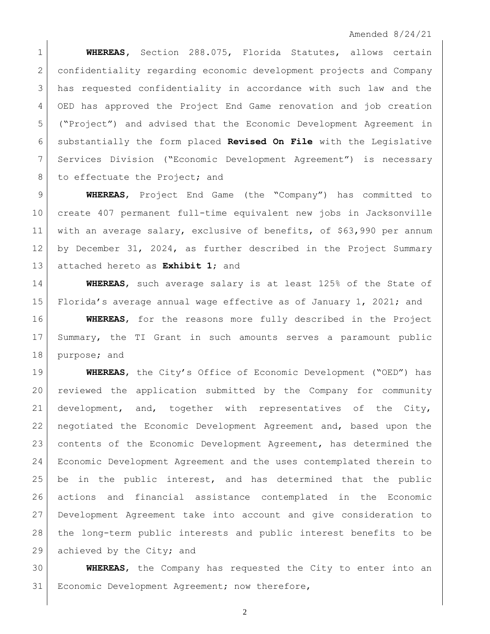**WHEREAS,** Section 288.075, Florida Statutes, allows certain confidentiality regarding economic development projects and Company has requested confidentiality in accordance with such law and the OED has approved the Project End Game renovation and job creation ("Project") and advised that the Economic Development Agreement in substantially the form placed **Revised On File** with the Legislative Services Division ("Economic Development Agreement") is necessary 8 to effectuate the Project; and

 **WHEREAS**, Project End Game (the "Company") has committed to create 407 permanent full-time equivalent new jobs in Jacksonville with an average salary, exclusive of benefits, of \$63,990 per annum by December 31, 2024, as further described in the Project Summary attached hereto as **Exhibit 1**; and

 **WHEREAS**, such average salary is at least 125% of the State of Florida's average annual wage effective as of January 1, 2021; and

 **WHEREAS**, for the reasons more fully described in the Project Summary, the TI Grant in such amounts serves a paramount public purpose; and

 **WHEREAS**, the City's Office of Economic Development ("OED") has reviewed the application submitted by the Company for community development, and, together with representatives of the City, negotiated the Economic Development Agreement and, based upon the contents of the Economic Development Agreement, has determined the Economic Development Agreement and the uses contemplated therein to be in the public interest, and has determined that the public actions and financial assistance contemplated in the Economic Development Agreement take into account and give consideration to the long-term public interests and public interest benefits to be 29 achieved by the City; and

 **WHEREAS**, the Company has requested the City to enter into an 31 Economic Development Agreement; now therefore,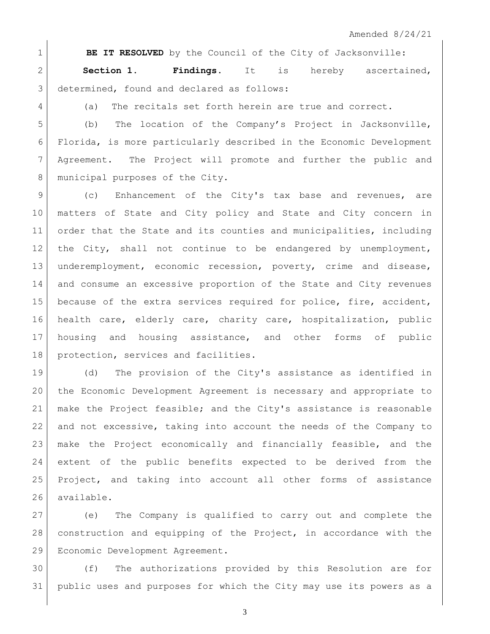**BE IT RESOLVED** by the Council of the City of Jacksonville: **Section 1. Findings**. It is hereby ascertained, 3 determined, found and declared as follows:

4 (a) The recitals set forth herein are true and correct.

5 (b) The location of the Company's Project in Jacksonville, Florida, is more particularly described in the Economic Development Agreement. The Project will promote and further the public and 8 municipal purposes of the City.

9 (c) Enhancement of the City's tax base and revenues, are matters of State and City policy and State and City concern in order that the State and its counties and municipalities, including the City, shall not continue to be endangered by unemployment, underemployment, economic recession, poverty, crime and disease, and consume an excessive proportion of the State and City revenues because of the extra services required for police, fire, accident, health care, elderly care, charity care, hospitalization, public housing and housing assistance, and other forms of public protection, services and facilities.

 (d) The provision of the City's assistance as identified in the Economic Development Agreement is necessary and appropriate to make the Project feasible; and the City's assistance is reasonable and not excessive, taking into account the needs of the Company to make the Project economically and financially feasible, and the extent of the public benefits expected to be derived from the Project, and taking into account all other forms of assistance available.

 (e) The Company is qualified to carry out and complete the construction and equipping of the Project, in accordance with the Economic Development Agreement.

 (f) The authorizations provided by this Resolution are for public uses and purposes for which the City may use its powers as a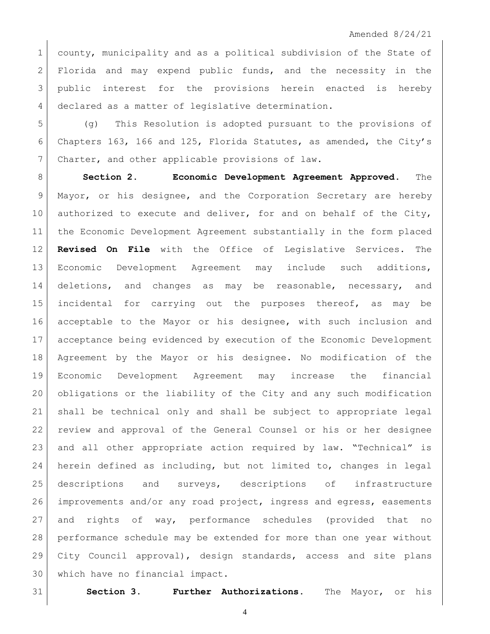1 county, municipality and as a political subdivision of the State of 2 Florida and may expend public funds, and the necessity in the 3 public interest for the provisions herein enacted is hereby declared as a matter of legislative determination.

 (g) This Resolution is adopted pursuant to the provisions of Chapters 163, 166 and 125, Florida Statutes, as amended, the City's 7 Charter, and other applicable provisions of law.

 **Section 2. Economic Development Agreement Approved.** The Mayor, or his designee, and the Corporation Secretary are hereby 10 authorized to execute and deliver, for and on behalf of the City, the Economic Development Agreement substantially in the form placed **Revised On File** with the Office of Legislative Services. The Economic Development Agreement may include such additions, deletions, and changes as may be reasonable, necessary, and incidental for carrying out the purposes thereof, as may be acceptable to the Mayor or his designee, with such inclusion and acceptance being evidenced by execution of the Economic Development Agreement by the Mayor or his designee. No modification of the Economic Development Agreement may increase the financial obligations or the liability of the City and any such modification shall be technical only and shall be subject to appropriate legal review and approval of the General Counsel or his or her designee and all other appropriate action required by law. "Technical" is herein defined as including, but not limited to, changes in legal descriptions and surveys, descriptions of infrastructure 26 improvements and/or any road project, ingress and egress, easements and rights of way, performance schedules (provided that no performance schedule may be extended for more than one year without City Council approval), design standards, access and site plans which have no financial impact.

**Section 3. Further Authorizations.** The Mayor, or his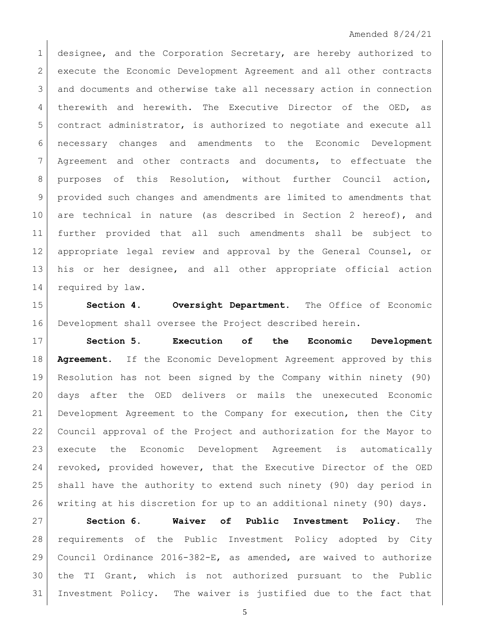## Amended 8/24/21

1 designee, and the Corporation Secretary, are hereby authorized to execute the Economic Development Agreement and all other contracts and documents and otherwise take all necessary action in connection 4 therewith and herewith. The Executive Director of the OED, as contract administrator, is authorized to negotiate and execute all necessary changes and amendments to the Economic Development Agreement and other contracts and documents, to effectuate the purposes of this Resolution, without further Council action, provided such changes and amendments are limited to amendments that are technical in nature (as described in Section 2 hereof), and further provided that all such amendments shall be subject to appropriate legal review and approval by the General Counsel, or his or her designee, and all other appropriate official action 14 required by law.

 **Section 4. Oversight Department.** The Office of Economic Development shall oversee the Project described herein.

 **Section 5. Execution of the Economic Development Agreement.** If the Economic Development Agreement approved by this Resolution has not been signed by the Company within ninety (90) days after the OED delivers or mails the unexecuted Economic Development Agreement to the Company for execution, then the City Council approval of the Project and authorization for the Mayor to execute the Economic Development Agreement is automatically revoked, provided however, that the Executive Director of the OED shall have the authority to extend such ninety (90) day period in writing at his discretion for up to an additional ninety (90) days.

 **Section 6. Waiver of Public Investment Policy.** The requirements of the Public Investment Policy adopted by City Council Ordinance 2016-382-E, as amended, are waived to authorize the TI Grant, which is not authorized pursuant to the Public Investment Policy. The waiver is justified due to the fact that